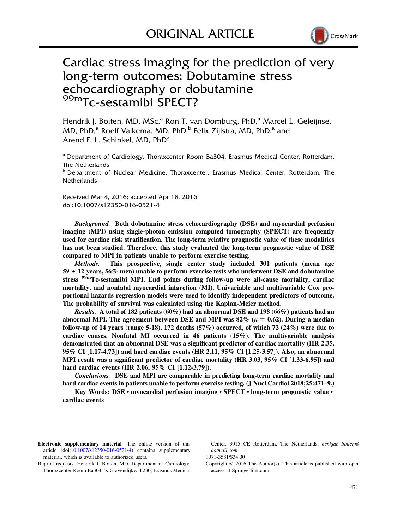

# Cardiac stress imaging for the prediction of very long-term outcomes: Dobutamine stress echocardiography or dobutamine 99mTc-sestamibi SPECT?

Hendrik J. Boiten, MD, MSc,<sup>a</sup> Ron T. van Domburg, PhD,<sup>a</sup> Marcel L. Geleijnse, MD, PhD,<sup>a</sup> Roelf Valkema, MD, PhD,<sup>b</sup> Felix Zijlstra, MD, PhD,<sup>a</sup> and Arend F. L. Schinkel, MD, PhD<sup>a</sup>

<sup>a</sup> Department of Cardiology, Thoraxcenter Room Ba304, Erasmus Medical Center, Rotterdam, The Netherlands

<sup>b</sup> Department of Nuclear Medicine, Thoraxcenter, Erasmus Medical Center, Rotterdam, The **Netherlands** 

Received Mar 4, 2016; accepted Apr 18, 2016 doi:10.1007/s12350-016-0521-4

Background. Both dobutamine stress echocardiography (DSE) and myocardial perfusion imaging (MPI) using single-photon emission computed tomography (SPECT) are frequently used for cardiac risk stratification. The long-term relative prognostic value of these modalities has not been studied. Therefore, this study evaluated the long-term prognostic value of DSE compared to MPI in patients unable to perform exercise testing.

Methods. This prospective, single center study included 301 patients (mean age  $59 \pm 12$  years,  $56\%$  men) unable to perform exercise tests who underwent DSE and dobutamine stress <sup>99m</sup>Tc-sestamibi MPI. End points during follow-up were all-cause mortality, cardiac mortality, and nonfatal myocardial infarction (MI). Univariable and multivariable Cox proportional hazards regression models were used to identify independent predictors of outcome. The probability of survival was calculated using the Kaplan-Meier method.

Results. A total of 182 patients (60%) had an abnormal DSE and 198 (66%) patients had an abnormal MPI. The agreement between DSE and MPI was 82% ( $\kappa = 0.62$ ). During a median follow-up of 14 years (range 5-18), 172 deaths  $(57%)$  occurred, of which 72  $(24%)$  were due to cardiac causes. Nonfatal MI occurred in 46 patients (15%). The multivariable analysis demonstrated that an abnormal DSE was a significant predictor of cardiac mortality (HR 2.35, 95% CI [1.17-4.73]) and hard cardiac events (HR 2.11, 95% CI [1.25-3.57]). Also, an abnormal MPI result was a significant predictor of cardiac mortality (HR 3.03, 95% CI [1.33-6.95]) and hard cardiac events (HR 2.06, 95% CI [1.12-3.79]).

Conclusions. DSE and MPI are comparable in predicting long-term cardiac mortality and hard cardiac events in patients unable to perform exercise testing. (J Nucl Cardiol 2018;25:471–9.)

Key Words: DSE • myocardial perfusion imaging • SPECT • long-term prognostic value • cardiac events

Electronic supplementary material The online version of this article (doi[:10.1007/s12350-016-0521-4\)](http://dx.doi.org/10.1007/s12350-016-0521-4) contains supplementary material, which is available to authorized users.

Reprint requests: Hendrik J. Boiten, MD, Department of Cardiology, Thoraxcenter Room Ba304, 's-Gravendijkwal 230, Erasmus Medical Center, 3015 CE Rotterdam, The Netherlands; henkian boiten@ hotmail.com

1071-3581/\$34.00

Copyright  $\odot$  2016 The Author(s). This article is published with open access at Springerlink.com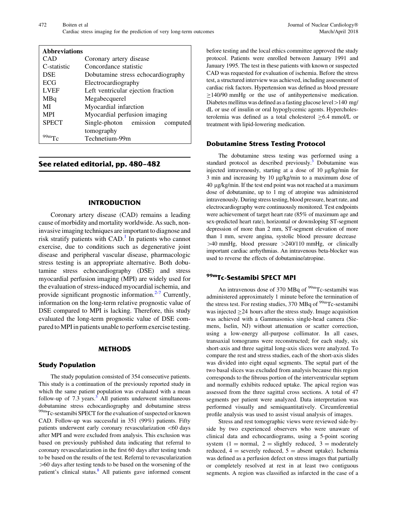| <b>Abbreviations</b> |                                    |
|----------------------|------------------------------------|
| CAD                  | Coronary artery disease            |
| C-statistic          | Concordance statistic              |
| <b>DSE</b>           | Dobutamine stress echocardiography |
| <b>ECG</b>           | Electrocardiography                |
| <b>LVEF</b>          | Left ventricular ejection fraction |
| MBq                  | Megabecquerel                      |
| MI                   | Myocardial infarction              |
| <b>MPI</b>           | Myocardial perfusion imaging       |
| <b>SPECT</b>         | Single-photon emission<br>computed |
|                      | tomography                         |
|                      | Technetium-99m                     |

# See related editorial, pp. 480–482

#### INTRODUCTION

Coronary artery disease (CAD) remains a leading cause of morbidity and mortality worldwide. As such, noninvasive imaging techniques are important to diagnose and risk stratify patients with  $CAD.1$  $CAD.1$  In patients who cannot exercise, due to conditions such as degenerative joint disease and peripheral vascular disease, pharmacologic stress testing is an appropriate alternative. Both dobutamine stress echocardiography (DSE) and stress myocardial perfusion imaging (MPI) are widely used for the evaluation of stress-induced myocardial ischemia, and provide significant prognostic information. $2-7$  Currently, information on the long-term relative prognostic value of DSE compared to MPI is lacking. Therefore, this study evaluated the long-term prognostic value of DSE compared to MPI in patients unable to perform exercise testing.

#### METHODS

#### Study Population

The study population consisted of 354 consecutive patients. This study is a continuation of the previously reported study in which the same patient population was evaluated with a mean follow-up of  $7.3 \text{ years}$  $7.3 \text{ years}$  $7.3 \text{ years}$ .<sup>3</sup> All patients underwent simultaneous dobutamine stress echocardiography and dobutamine stress 99mTc-sestamibi SPECT for the evaluation of suspected or known CAD. Follow-up was successful in 351 (99%) patients. Fifty patients underwent early coronary revascularization \60 days after MPI and were excluded from analysis. This exclusion was based on previously published data indicating that referral to coronary revascularization in the first 60 days after testing tends to be based on the results of the test. Referral to revascularization  $>60$  days after testing tends to be based on the worsening of the patient's clinical status. $8$  All patients gave informed consent

before testing and the local ethics committee approved the study protocol. Patients were enrolled between January 1991 and January 1995. The test in these patients with known or suspected CAD was requested for evaluation of ischemia. Before the stress test, a structured interview was achieved, including assessment of cardiac risk factors. Hypertension was defined as blood pressure  $\geq$ 140/90 mmHg or the use of antihypertensive medication. Diabetes mellitus was defined as a fasting glucose level  $>140$  mg/ dL or use of insulin or oral hypoglycemic agents. Hypercholesterolemia was defined as a total cholesterol  $\geq$ 6.4 mmol/L or treatment with lipid-lowering medication.

#### Dobutamine Stress Testing Protocol

The dobutamine stress testing was performed using a standard protocol as described previously.<sup>3</sup> Dobutamine was injected intravenously, starting at a dose of 10 µg/kg/min for 3 min and increasing by 10 µg/kg/min to a maximum dose of 40 lg/kg/min. If the test end point was not reached at a maximum dose of dobutamine, up to 1 mg of atropine was administered intravenously. During stress testing, blood pressure, heart rate, and electrocardiography were continuously monitored. Test endpoints were achievement of target heart rate (85% of maximum age and sex-predicted heart rate), horizontal or downsloping ST-segment depression of more than 2 mm, ST-segment elevation of more than 1 mm, severe angina, systolic blood pressure decrease  $>40$  mmHg, blood pressure  $>240/110$  mmHg, or clinically important cardiac arrhythmias. An intravenous beta-blocker was used to reverse the effects of dobutamine/atropine.

# 99mTc-Sestamibi SPECT MPI

An intravenous dose of 370 MBq of  $\rm{^{99m}Tc\text{-}sestamibi}$  was administered approximately 1 minute before the termination of the stress test. For resting studies, 370 MBq of <sup>99m</sup>Tc-sestamibi was injected  $\geq$  24 hours after the stress study. Image acquisition was achieved with a Gammasonics single-head camera (Siemens, Iselin, NJ) without attenuation or scatter correction, using a low-energy all-purpose collimator. In all cases, transaxial tomograms were reconstructed; for each study, six short-axis and three sagittal long-axis slices were analyzed. To compare the rest and stress studies, each of the short-axis slides was divided into eight equal segments. The septal part of the two basal slices was excluded from analysis because this region corresponds to the fibrous portion of the interventricular septum and normally exhibits reduced uptake. The apical region was assessed from the three sagittal cross sections. A total of 47 segments per patient were analyzed. Data interpretation was performed visually and semiquantitatively. Circumferential profile analysis was used to assist visual analysis of images.

Stress and rest tomographic views were reviewed side-byside by two experienced observers who were unaware of clinical data and echocardiograms, using a 5-point scoring system  $(1 = normal, 2 = slightly reduced, 3 = moderately)$ reduced,  $4 =$  severely reduced,  $5 =$  absent uptake). Ischemia was defined as a perfusion defect on stress images that partially or completely resolved at rest in at least two contiguous segments. A region was classified as infarcted in the case of a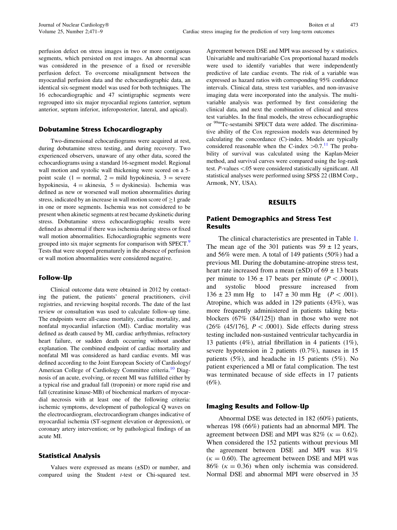perfusion defect on stress images in two or more contiguous segments, which persisted on rest images. An abnormal scan was considered in the presence of a fixed or reversible perfusion defect. To overcome misalignment between the myocardial perfusion data and the echocardiographic data, an identical six-segment model was used for both techniques. The 16 echocardiographic and 47 scintigraphic segments were regrouped into six major myocardial regions (anterior, septum anterior, septum inferior, inferoposterior, lateral, and apical).

### Dobutamine Stress Echocardiography

Two-dimensional echocardiograms were acquired at rest, during dobutamine stress testing, and during recovery. Two experienced observers, unaware of any other data, scored the echocardiograms using a standard 16-segment model. Regional wall motion and systolic wall thickening were scored on a 5 point scale (1 = normal, 2 = mild hypokinesia, 3 = severe hypokinesia,  $4 = \text{akinesia}, 5 = \text{dyskinesia}.$  Ischemia was defined as new or worsened wall motion abnormalities during stress, indicated by an increase in wall motion score of  $\geq$ 1 grade in one or more segments. Ischemia was not considered to be present when akinetic segments at rest became dyskinetic during stress. Dobutamine stress echocardiographic results were defined as abnormal if there was ischemia during stress or fixed wall motion abnormalities. Echocardiographic segments were grouped into six major segments for comparison with SPECT.<sup>[9](#page-7-0)</sup> Tests that were stopped prematurely in the absence of perfusion or wall motion abnormalities were considered negative.

## Follow-Up

Clinical outcome data were obtained in 2012 by contacting the patient, the patients' general practitioners, civil registries, and reviewing hospital records. The date of the last review or consultation was used to calculate follow-up time. The endpoints were all-cause mortality, cardiac mortality, and nonfatal myocardial infarction (MI). Cardiac mortality was defined as death caused by MI, cardiac arrhythmias, refractory heart failure, or sudden death occurring without another explanation. The combined endpoint of cardiac mortality and nonfatal MI was considered as hard cardiac events. MI was defined according to the Joint European Society of Cardiology/ American College of Cardiology Committee criteria.<sup>[10](#page-7-0)</sup> Diagnosis of an acute, evolving, or recent MI was fulfilled either by a typical rise and gradual fall (troponin) or more rapid rise and fall (creatinine kinase-MB) of biochemical markers of myocardial necrosis with at least one of the following criteria: ischemic symptoms, development of pathological Q waves on the electrocardiogram, electrocardiogram changes indicative of myocardial ischemia (ST-segment elevation or depression), or coronary artery intervention; or by pathological findings of an acute MI.

#### Statistical Analysis

Values were expressed as means (±SD) or number, and compared using the Student t-test or Chi-squared test. Agreement between DSE and MPI was assessed by  $\kappa$  statistics. Univariable and multivariable Cox proportional hazard models were used to identify variables that were independently predictive of late cardiac events. The risk of a variable was expressed as hazard ratios with corresponding 95% confidence intervals. Clinical data, stress test variables, and non-invasive imaging data were incorporated into the analysis. The multivariable analysis was performed by first considering the clinical data, and next the combination of clinical and stress test variables. In the final models, the stress echocardiographic or <sup>99m</sup>Tc-sestamibi SPECT data were added. The discriminative ability of the Cox regression models was determined by calculating the concordance (C)-index. Models are typically considered reasonable when the C-index  $>0.7$ .<sup>11</sup> The probability of survival was calculated using the Kaplan-Meier method, and survival curves were compared using the log-rank test. P-values\.05 were considered statistically significant. All statistical analyses were performed using SPSS 22 (IBM Corp., Armonk, NY, USA).

## RESULTS

## Patient Demographics and Stress Test **Results**

The clinical characteristics are presented in Table [1.](#page-3-0) The mean age of the 301 patients was  $59 \pm 12$  years, and 56% were men. A total of 149 patients (50%) had a previous MI. During the dobutamine-atropine stress test, heart rate increased from a mean  $(\pm SD)$  of 69  $\pm$  13 beats per minute to  $136 \pm 17$  beats per minute ( $P \lt 0.0001$ ), and systolic blood pressure increased from  $136 \pm 23$  mm Hg to  $147 \pm 30$  mm Hg ( $P < .001$ ). Atropine, which was added in 129 patients (43%), was more frequently administered in patients taking betablockers (67% (84/125]) than in those who were not (26% (45/176],  $P < .0001$ ). Side effects during stress testing included non-sustained ventricular tachycardia in 13 patients (4%), atrial fibrillation in 4 patients (1%), severe hypotension in 2 patients (0.7%), nausea in 15 patients (5%), and headache in 15 patients (5%). No patient experienced a MI or fatal complication. The test was terminated because of side effects in 17 patients  $(6\%).$ 

#### Imaging Results and Follow-Up

Abnormal DSE was detected in 182 (60%) patients, whereas 198 (66%) patients had an abnormal MPI. The agreement between DSE and MPI was 82% ( $\kappa = 0.62$ ). When considered the 152 patients without previous MI the agreement between DSE and MPI was 81%  $(\kappa = 0.60)$ . The agreement between DSE and MPI was 86% ( $\kappa = 0.36$ ) when only ischemia was considered. Normal DSE and abnormal MPI were observed in 35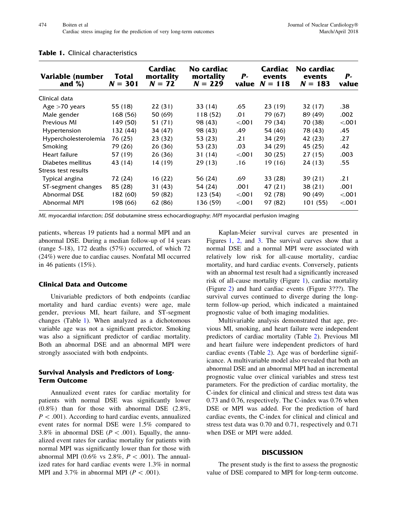| Variable (number<br>and $%$ ) | Total<br>$N = 301$ | Cardiac<br>mortality<br>$N = 72$ | No cardiac<br>mortality<br>$N = 229$ | $P-$   | Cardiac<br>events<br>value $N = 118$ | No cardiac<br>events<br>$N = 183$ | $P-$<br>value |
|-------------------------------|--------------------|----------------------------------|--------------------------------------|--------|--------------------------------------|-----------------------------------|---------------|
| Clinical data                 |                    |                                  |                                      |        |                                      |                                   |               |
| Age $>70$ years               | 55 (18)            | 22(31)                           | 33 (14)                              | .65    | 23 (19)                              | 32 (17)                           | .38           |
| Male gender                   | 168 (56)           | 50 (69)                          | 118 (52)                             | .01    | 79 (67)                              | 89 (49)                           | .002          |
| Previous MI                   | 149 (50)           | 51 (71)                          | 98 (43)                              | < 0.01 | 79 (34)                              | 70 (38)                           | < 001         |
| Hypertension                  | 132 (44)           | 34 (47)                          | 98 (43)                              | .49    | 54 (46)                              | 78 (43)                           | .45           |
| Hypercholesterolemia          | 76 (25)            | 23 (32)                          | 53 (23)                              | .21    | 34 (29)                              | 42 (23)                           | .27           |
| Smoking                       | 79 (26)            | 26(36)                           | 53 (23)                              | .03    | 34 (29)                              | 45 (25)                           | .42           |
| Heart failure                 | 57 (19)            | 26(36)                           | 31 (14)                              | < 0.01 | 30 (25)                              | 27(15)                            | .003          |
| Diabetes mellitus             | 43 (14)            | 14 (19)                          | 29(13)                               | .16    | 19 (16)                              | 24 (13)                           | .55           |
| Stress test results           |                    |                                  |                                      |        |                                      |                                   |               |
| Typical angina                | 72 (24)            | 16 (22)                          | 56 (24)                              | .69    | 33 (28)                              | 39 (21)                           | .21           |
| ST-segment changes            | 85 (28)            | 31(43)                           | 54 (24)                              | .001   | 47 (21)                              | 38 (21)                           | .001          |
| Abnormal DSE                  | 182 (60)           | 59 (82)                          | 123 (54)                             | < .001 | 92 (78)                              | 90 (49)                           | < 001         |
| Abnormal MPI                  | 198 (66)           | 62 (86)                          | 136 (59)                             | < .001 | 97 (82)                              | 101 (55)                          | < 001         |

#### <span id="page-3-0"></span>Table 1. Clinical characteristics

MI, myocardial infarction; DSE dobutamine stress echocardiography; MPI myocardial perfusion imaging

patients, whereas 19 patients had a normal MPI and an abnormal DSE. During a median follow-up of 14 years (range 5-18), 172 deaths (57%) occurred, of which 72 (24%) were due to cardiac causes. Nonfatal MI occurred in 46 patients (15%).

## Clinical Data and Outcome

Univariable predictors of both endpoints (cardiac mortality and hard cardiac events) were age, male gender, previous MI, heart failure, and ST-segment changes (Table 1). When analyzed as a dichotomous variable age was not a significant predictor. Smoking was also a significant predictor of cardiac mortality. Both an abnormal DSE and an abnormal MPI were strongly associated with both endpoints.

## Survival Analysis and Predictors of Long-Term Outcome

Annualized event rates for cardiac mortality for patients with normal DSE was significantly lower (0.8%) than for those with abnormal DSE (2.8%,  $P < .001$ ). According to hard cardiac events, annualized event rates for normal DSE were 1.5% compared to 3.8% in abnormal DSE ( $P < .001$ ). Equally, the annualized event rates for cardiac mortality for patients with normal MPI was significantly lower than for those with abnormal MPI (0.6% vs 2.8%,  $P \lt .001$ ). The annualized rates for hard cardiac events were 1.3% in normal MPI and 3.7% in abnormal MPI ( $P < .001$ ).

Kaplan-Meier survival curves are presented in Figures [1](#page-4-0), [2,](#page-4-0) and [3.](#page-5-0) The survival curves show that a normal DSE and a normal MPI were associated with relatively low risk for all-cause mortality, cardiac mortality, and hard cardiac events. Conversely, patients with an abnormal test result had a significantly increased risk of all-cause mortality (Figure [1](#page-4-0)), cardiac mortality (Figure [2\)](#page-4-0) and hard cardiac events (Figure 3???). The survival curves continued to diverge during the longterm follow-up period, which indicated a maintained prognostic value of both imaging modalities.

Multivariable analysis demonstrated that age, previous MI, smoking, and heart failure were independent predictors of cardiac mortality (Table [2\)](#page-6-0). Previous MI and heart failure were independent predictors of hard cardiac events (Table [2](#page-6-0)). Age was of borderline significance. A multivariable model also revealed that both an abnormal DSE and an abnormal MPI had an incremental prognostic value over clinical variables and stress test parameters. For the prediction of cardiac mortality, the C-index for clinical and clinical and stress test data was 0.73 and 0.76, respectively. The C-index was 0.76 when DSE or MPI was added. For the prediction of hard cardiac events, the C-index for clinical and clinical and stress test data was 0.70 and 0.71, respectively and 0.71 when DSE or MPI were added.

## **DISCUSSION**

The present study is the first to assess the prognostic value of DSE compared to MPI for long-term outcome.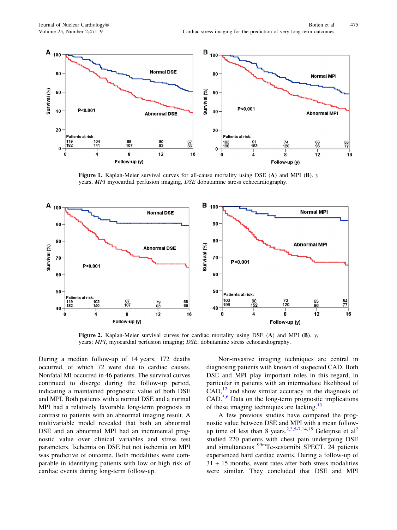<span id="page-4-0"></span>

Figure 1. Kaplan-Meier survival curves for all-cause mortality using DSE (A) and MPI (B). y years, MPI myocardial perfusion imaging, DSE dobutamine stress echocardiography.



Figure 2. Kaplan-Meier survival curves for cardiac mortality using DSE (A) and MPI (B). y, years; MPI, myocardial perfusion imaging; DSE, dobutamine stress echocardiography.

During a median follow-up of 14 years, 172 deaths occurred, of which 72 were due to cardiac causes. Nonfatal MI occurred in 46 patients. The survival curves continued to diverge during the follow-up period, indicating a maintained prognostic value of both DSE and MPI. Both patients with a normal DSE and a normal MPI had a relatively favorable long-term prognosis in contrast to patients with an abnormal imaging result. A multivariable model revealed that both an abnormal DSE and an abnormal MPI had an incremental prognostic value over clinical variables and stress test parameters. Ischemia on DSE but not ischemia on MPI was predictive of outcome. Both modalities were comparable in identifying patients with low or high risk of cardiac events during long-term follow-up.

Non-invasive imaging techniques are central in diagnosing patients with known of suspected CAD. Both DSE and MPI play important roles in this regard, in particular in patients with an intermediate likelihood of  $CAD<sup>12</sup>$  $CAD<sup>12</sup>$  $CAD<sup>12</sup>$  and show similar accuracy in the diagnosis of CAD.[5,6](#page-7-0) Data on the long-term prognostic implications of these imaging techniques are lacking.<sup>[13](#page-7-0)</sup>

A few previous studies have compared the prognostic value between DSE and MPI with a mean follow-up time of less than 8 years.<sup>2,3,5-[7,14](#page-7-0),[15](#page-7-0)</sup> Geleijnse et al<sup>[2](#page-7-0)</sup> studied 220 patients with chest pain undergoing DSE and simultaneous 99mTc-sestamibi SPECT. 24 patients experienced hard cardiac events. During a follow-up of  $31 \pm 15$  months, event rates after both stress modalities were similar. They concluded that DSE and MPI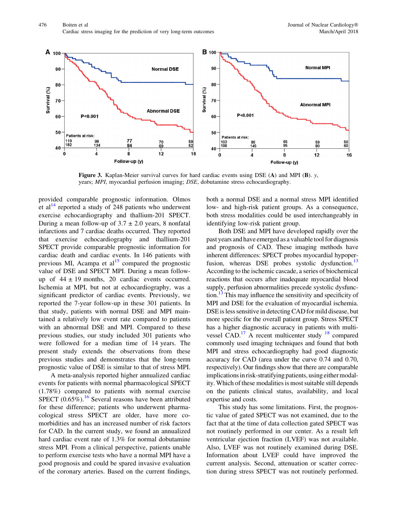<span id="page-5-0"></span>

**Figure 3.** Kaplan-Meier survival curves for hard cardiac events using DSE (A) and MPI (B).  $y$ , years; MPI, myocardial perfusion imaging; DSE, dobutamine stress echocardiography.

provided comparable prognostic information. Olmos et al<sup>[14](#page-7-0)</sup> reported a study of 248 patients who underwent exercise echocardiography and thallium-201 SPECT. During a mean follow-up of  $3.7 \pm 2.0$  years, 8 nonfatal infarctions and 7 cardiac deaths occurred. They reported that exercise echocardiography and thallium-201 SPECT provide comparable prognostic information for cardiac death and cardiac events. In 146 patients with previous MI, Acampa et  $al<sup>15</sup>$  $al<sup>15</sup>$  $al<sup>15</sup>$  compared the prognostic value of DSE and SPECT MPI. During a mean followup of  $44 \pm 19$  months, 20 cardiac events occurred. Ischemia at MPI, but not at echocardiography, was a significant predictor of cardiac events. Previously, we reported the 7-year follow-up in these 301 patients. In that study, patients with normal DSE and MPI maintained a relatively low event rate compared to patients with an abnormal DSE and MPI. Compared to these previous studies, our study included 301 patients who were followed for a median time of 14 years. The present study extends the observations from these previous studies and demonstrates that the long-term prognostic value of DSE is similar to that of stress MPI.

A meta-analysis reported higher annualized cardiac events for patients with normal pharmacological SPECT (1.78%) compared to patients with normal exercise SPECT  $(0.65\%)$ .<sup>[16](#page-7-0)</sup> Several reasons have been attributed for these difference; patients who underwent pharmacological stress SPECT are older, have more comorbidities and has an increased number of risk factors for CAD. In the current study, we found an annualized hard cardiac event rate of 1.3% for normal dobutamine stress MPI. From a clinical perspective, patients unable to perform exercise tests who have a normal MPI have a good prognosis and could be spared invasive evaluation of the coronary arteries. Based on the current findings,

both a normal DSE and a normal stress MPI identified low- and high-risk patient groups. As a consequence, both stress modalities could be used interchangeably in identifying low-risk patient group.

Both DSE and MPI have developed rapidly over the past years and have emerged as a valuable tool for diagnosis and prognosis of CAD. These imaging methods have inherent differences: SPECT probes myocardial hypoper-fusion, whereas DSE probes systolic dysfunction.<sup>[13](#page-7-0)</sup> According to the ischemic cascade, a series of biochemical reactions that occurs after inadequate myocardial blood supply, perfusion abnormalities precede systolic dysfunc-tion.<sup>[13](#page-7-0)</sup> This may influence the sensitivity and specificity of MPI and DSE for the evaluation of myocardial ischemia. DSE is less sensitive in detecting CAD for mild disease, but more specific for the overall patient group. Stress SPECT has a higher diagnostic accuracy in patients with multivessel CAD.<sup>17</sup> A recent multicenter study  $18$  compared commonly used imaging techniques and found that both MPI and stress echocardiography had good diagnostic accuracy for CAD (area under the curve 0.74 and 0.70, respectively). Our findings show that there are comparable implications in risk-stratifying patients, using either modality. Which of these modalities is most suitable still depends on the patients clinical status, availability, and local expertise and costs.

This study has some limitations. First, the prognostic value of gated SPECT was not examined, due to the fact that at the time of data collection gated SPECT was not routinely performed in our center. As a result left ventricular ejection fraction (LVEF) was not available. Also, LVEF was not routinely examined during DSE. Information about LVEF could have improved the current analysis. Second, attenuation or scatter correction during stress SPECT was not routinely performed.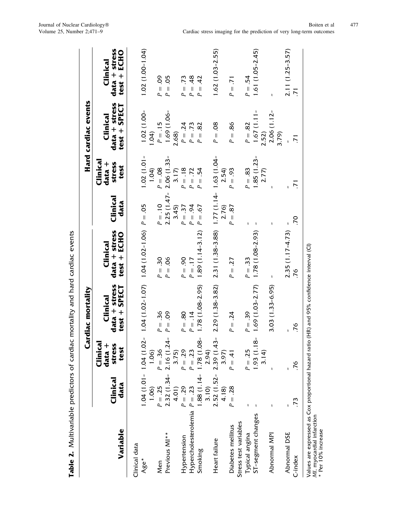<span id="page-6-0"></span>

|                                                                                                                                                |                  |                                     | Cardiac mortality                                     |                                                            |                  |                                      | Hard cardiac events                           |                                                 |
|------------------------------------------------------------------------------------------------------------------------------------------------|------------------|-------------------------------------|-------------------------------------------------------|------------------------------------------------------------|------------------|--------------------------------------|-----------------------------------------------|-------------------------------------------------|
| Variable                                                                                                                                       | Clinical<br>data | Clinica<br>data +<br>stress<br>test | data + stress<br><b>SPECT</b><br>Clinical<br>$test +$ | data + stress<br>$test + ECHO$<br>Clinical                 | Clinical<br>data | Clinical<br>stress<br>data +<br>test | $data + stress$<br>$test + SPECT$<br>Clinical | data + stress<br>ECHO<br>Clinical<br>$test +$   |
| Clinical data                                                                                                                                  |                  |                                     |                                                       |                                                            |                  |                                      |                                               |                                                 |
| Age*                                                                                                                                           | 1.06             | 1,06                                |                                                       | $1.04(1.01 - 1.04(1.02 - 1.04(1.07 - 1.04(1.02 - 1.04))))$ |                  | $1.02(1.01 -$<br>1.04                | $1.02(1.00 -$<br>1.04                         | $1.02(1.00 - 1.04)$                             |
| Men                                                                                                                                            | $P = .25$        | $P = .36$                           | $P = 0.36$                                            | $P = .30$                                                  | $P = .10$        | $P = .08$                            | $P = .15$                                     | $P = 0.09$                                      |
| Previous MI**                                                                                                                                  |                  | $2.32(1.34 - 2.16(1.24 -$           | $P = .09$                                             | $= .06$<br>$\sim$                                          | $2.25(1.47-$     | $2.06(1.33 -$                        | 1.69 (1.06-                                   | 05<br>$P =$                                     |
|                                                                                                                                                | 4.01             | 3.75)                               |                                                       |                                                            | 3.45             | 3.17                                 | 2.68)                                         |                                                 |
| Hypertension                                                                                                                                   | $P = .29$        | $P = .29$                           | $P = .80$                                             | $06 = 0$<br>P,                                             | $P = .37$        | $P = .18$                            | $P = .24$                                     | .73<br>$\overline{\mathbf{I}}$<br>P.            |
| Hypercholesterolemia $P = .23$                                                                                                                 |                  | $P = .23$                           | $P = .14$                                             | $P = .17$                                                  | $P = .94$        | $P = .72$                            | $P = .73$                                     | 48<br>$P =$                                     |
| Smoking                                                                                                                                        | 3.10             | $1.88(1.14 - 1.78(1.08 -$<br>2.94)  | $1.78(1.08 - 2.95)$                                   | $1.89(1.14-3.12)$                                          | $P = .67$        | $= .54$<br>Q.                        | $P = .82$                                     | 42<br>$\overline{\mathsf{I}}$<br>$\overline{a}$ |
| Heart failure                                                                                                                                  |                  | $2.52(1.52 - 2.39(1.43 -$           | 2.29 (1.38-3.82)                                      | $2.31(1.38-3.88)$ $1.77(1.14-1.63(1.04-$                   |                  |                                      | $P = .08$                                     | $1.62(1.03 - 2.55)$                             |
|                                                                                                                                                | 4.18             | 3.97)                               |                                                       |                                                            | 2.76)            | 2.54                                 |                                               |                                                 |
| Diabetes mellitus                                                                                                                              | $P = .28$        | $P = .41$                           | $= .24$<br>P.                                         | $= .27$<br>P,                                              | $P = .87$        | $= .93$<br>P.                        | $P = .86$                                     | $= .71$<br>P.                                   |
| Stress test variables                                                                                                                          |                  |                                     |                                                       |                                                            |                  |                                      |                                               |                                                 |
| Typical angina                                                                                                                                 |                  | $P = .25$                           | $P = .39$                                             | $P = .33$                                                  |                  | $P = .83$                            | $P = .82$                                     | $P = .54$                                       |
| ST-segment changes                                                                                                                             |                  | $\infty$<br>1.93(1.1)               | $1.69(1.03 - 2.77)$                                   | $1.78(1.08 - 2.93)$                                        |                  | $1.85(1.23 -$                        | $1.67(1.11 -$                                 | $1.61(1.05 - 2.45)$                             |
|                                                                                                                                                |                  | 3.14                                |                                                       |                                                            |                  | 2.77                                 | 2.52                                          |                                                 |
| Abnormal MPI                                                                                                                                   |                  |                                     | $3.03(1.33 - 6.95)$                                   |                                                            |                  |                                      | $2.06(1.12-$<br>3.79)                         |                                                 |
| Abnormal DSE                                                                                                                                   |                  |                                     |                                                       |                                                            |                  |                                      |                                               |                                                 |
| C-index                                                                                                                                        | 73               | 76                                  | .76                                                   | $2.35(1.17-4.73)$<br>.76                                   | OL.              | $\overline{71}$                      | $\overline{5}$                                | 2.11 (1.25-3.57)<br>$\overline{71}$             |
| Values are expressed as Cox proportional hazard ratio (HR) and 95% confidence interval (CI)<br>MI, myocardial infarction<br>* Per 10% increase |                  |                                     |                                                       |                                                            |                  |                                      |                                               |                                                 |

Table 2. Multivariable predictors of cardiac mortality and hard cardiac events Table 2. Multivariable predictors of cardiac mortality and hard cardiac events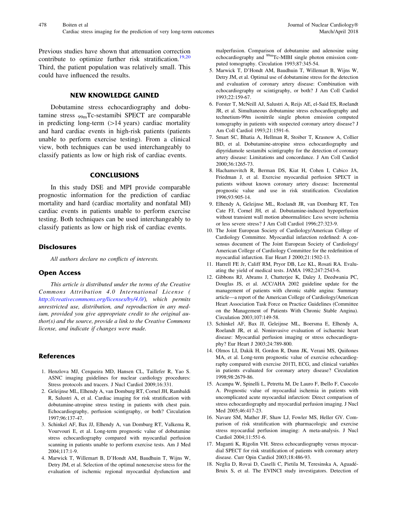<span id="page-7-0"></span>Previous studies have shown that attenuation correction contribute to optimize further risk stratification.<sup>[19,20](#page-8-0)</sup> Third, the patient population was relatively small. This could have influenced the results.

## NEW KNOWLEDGE GAINED

Dobutamine stress echocardiography and dobutamine stress 99mTc-sestamibi SPECT are comparable in predicting long-term  $(>14 \text{ years})$  cardiac mortality and hard cardiac events in high-risk patients (patients unable to perform exercise testing). From a clinical view, both techniques can be used interchangeably to classify patients as low or high risk of cardiac events.

#### **CONCLUSIONS**

In this study DSE and MPI provide comparable prognostic information for the prediction of cardiac mortality and hard (cardiac mortality and nonfatal MI) cardiac events in patients unable to perform exercise testing. Both techniques can be used interchangeably to classify patients as low or high risk of cardiac events.

## **Disclosures**

All authors declare no conflicts of interests.

## Open Access

This article is distributed under the terms of the Creative Commons Attribution 4.0 International License ( [http://creativecommons.org/licenses/by/4.0/\)](http://creativecommons.org/licenses/by/4.0/), which permits unrestricted use, distribution, and reproduction in any medium, provided you give appropriate credit to the original author(s) and the source, provide a link to the Creative Commons license, and indicate if changes were made.

# **References**

- 1. Henzlova MJ, Cerqueira MD, Hansen CL, Taillefer R, Yao S. ASNC imaging guidelines for nuclear cardiology procedures: Stress protocols and tracers. J Nucl Cardiol 2009;16:331.
- 2. Geleijnse ML, Elhendy A, van Domburg RT, Cornel JH, Rambaldi R, Salustri A, et al. Cardiac imaging for risk stratification with dobutamine-atropine stress testing in patients with chest pain. Echocardiography, perfusion scintigraphy, or both? Circulation 1997;96:137-47.
- 3. Schinkel AF, Bax JJ, Elhendy A, van Domburg RT, Valkema R, Vourvouri E, et al. Long-term prognostic value of dobutamine stress echocardiography compared with myocardial perfusion scanning in patients unable to perform exercise tests. Am J Med 2004;117:1-9.
- 4. Marwick T, Willemart B, D'Hondt AM, Baudhuin T, Wijns W, Detry JM, et al. Selection of the optimal nonexercise stress for the evaluation of ischemic regional myocardial dysfunction and

malperfusion. Comparison of dobutamine and adenosine using echocardiography and <sup>99m</sup>Tc-MIBI single photon emission computed tomography. Circulation 1993;87:345-54.

- 5. Marwick T, D'Hondt AM, Baudhuin T, Willemart B, Wijns W, Detry JM, et al. Optimal use of dobutamine stress for the detection and evaluation of coronary artery disease: Combination with echocardiography or scintigraphy, or both? J Am Coll Cardiol 1993;22:159-67.
- 6. Forster T, McNeill AJ, Salustri A, Reijs AE, el-Said ES, Roelandt JR, et al. Simultaneous dobutamine stress echocardiography and technetium-99m isonitrile single photon emission computed tomography in patients with suspected coronary artery disease? J Am Coll Cardiol 1993;21:1591-6.
- 7. Smart SC, Bhatia A, Hellman R, Stoiber T, Krasnow A, Collier BD, et al. Dobutamine-atropine stress echocardiography and dipyridamole sestamibi scintigraphy for the detection of coronary artery disease: Limitations and concordance. J Am Coll Cardiol 2000;36:1265-73.
- 8. Hachamovitch R, Berman DS, Kiat H, Cohen I, Cabico JA, Friedman J, et al. Exercise myocardial perfusion SPECT in patients without known coronary artery disease: Incremental prognostic value and use in risk stratification. Circulation 1996;93:905-14.
- 9. Elhendy A, Geleijnse ML, Roelandt JR, van Domburg RT, Ten Cate FJ, Cornel JH, et al. Dobutamine-induced hypoperfusion without transient wall motion abnormalities: Less severe ischemia or less severe stress? J Am Coll Cardiol 1996;27:323-9.
- 10. The Joint European Society of Cardiology/American College of Cardiology Committee. Myocardial infarction redefined: A consensus document of The Joint European Society of Cardiology/ American College of Cardiology Committee for the redefinition of myocardial infarction. Eur Heart J 2000;21:1502-13.
- 11. Harrell FE Jr, Califf RM, Pryor DB, Lee KL, Rosati RA. Evaluating the yield of medical tests. JAMA 1982;247:2543-6.
- 12. Gibbons RJ, Abrams J, Chatterjee K, Daley J, Deedwania PC, Douglas JS, et al. ACC/AHA 2002 guideline update for the management of patients with chronic stable angina: Summary article—a report of the American College of Cardiology/American Heart Association Task Force on Practice Guidelines (Committee on the Management of Patients With Chronic Stable Angina). Circulation 2003;107:149-58.
- 13. Schinkel AF, Bax JJ, Geleijnse ML, Boersma E, Elhendy A, Roelandt JR, et al. Noninvasive evaluation of ischaemic heart disease: Myocardial perfusion imaging or stress echocardiography? Eur Heart J 2003;24:789-800.
- 14. Olmos LI, Dakik H, Gordon R, Dunn JK, Verani MS, Quiñones MA, et al. Long-term prognostic value of exercise echocardiography compared with exercise 201Tl, ECG, and clinical variables in patients evaluated for coronary artery disease? Circulation 1998;98:2679-86.
- 15. Acampa W, Spinelli L, Petretta M, De Lauro F, Ibello F, Cuocolo A. Prognostic value of myocardial ischemia in patients with uncomplicated acute myocardial infarction: Direct comparison of stress echocardiography and myocardial perfusion imaging. J Nucl Med 2005;46:417-23.
- 16. Navare SM, Mather JF, Shaw LJ, Fowler MS, Heller GV. Comparison of risk stratification with pharmacologic and exercise stress myocardial perfusion imaging: A meta-analysis. J Nucl Cardiol 2004;11:551-6.
- 17. Maganti K, Rigolin VH. Stress echocardiography versus myocardial SPECT for risk stratification of patients with coronary artery disease. Curr Opin Cardiol 2003;18:486-93.
- 18. Neglia D, Rovai D, Caselli C, Pietila M, Teresinska A, Aguadé-Bruix S, et al. The EVINCI study investigators. Detection of